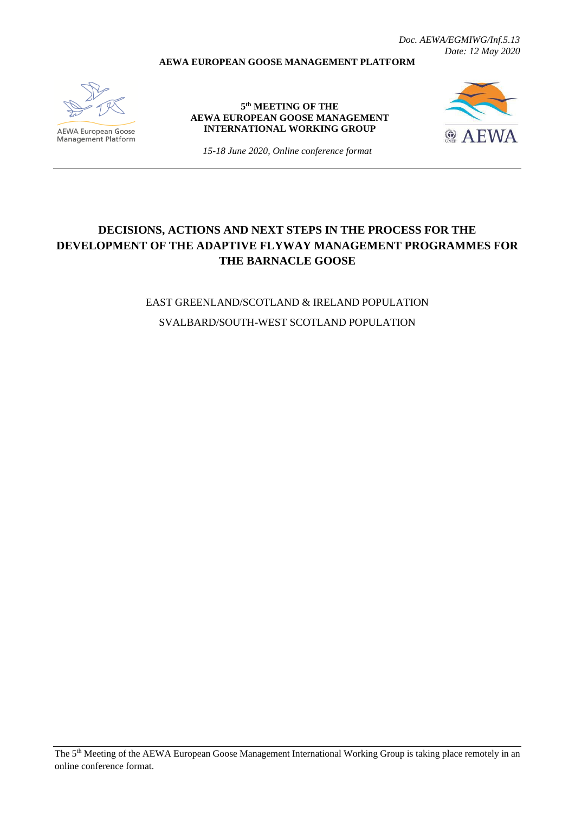*Doc. AEWA/EGMIWG/Inf.5.13 Date: 12 May 2020*

#### **AEWA EUROPEAN GOOSE MANAGEMENT PLATFORM**



**AEWA European Goose** Management Platform

**5 th MEETING OF THE AEWA EUROPEAN GOOSE MANAGEMENT INTERNATIONAL WORKING GROUP**



*15-18 June 2020, Online conference format*

# **DECISIONS, ACTIONS AND NEXT STEPS IN THE PROCESS FOR THE DEVELOPMENT OF THE ADAPTIVE FLYWAY MANAGEMENT PROGRAMMES FOR THE BARNACLE GOOSE**

EAST GREENLAND/SCOTLAND & IRELAND POPULATION SVALBARD/SOUTH-WEST SCOTLAND POPULATION

The 5th Meeting of the AEWA European Goose Management International Working Group is taking place remotely in an online conference format.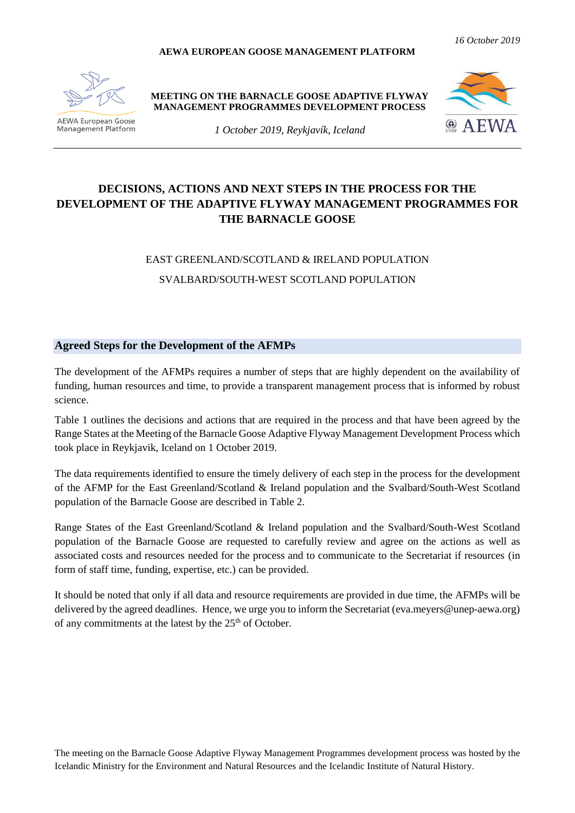#### **AEWA EUROPEAN GOOSE MANAGEMENT PLATFORM**



**AEWA European Goose Management Platform**  **MEETING ON THE BARNACLE GOOSE ADAPTIVE FLYWAY MANAGEMENT PROGRAMMES DEVELOPMENT PROCESS**



*1 October 2019, Reykjavík, Iceland*

## **DECISIONS, ACTIONS AND NEXT STEPS IN THE PROCESS FOR THE DEVELOPMENT OF THE ADAPTIVE FLYWAY MANAGEMENT PROGRAMMES FOR THE BARNACLE GOOSE**

# EAST GREENLAND/SCOTLAND & IRELAND POPULATION SVALBARD/SOUTH-WEST SCOTLAND POPULATION

#### **Agreed Steps for the Development of the AFMPs**

The development of the AFMPs requires a number of steps that are highly dependent on the availability of funding, human resources and time, to provide a transparent management process that is informed by robust science.

Table 1 outlines the decisions and actions that are required in the process and that have been agreed by the Range States at the Meeting of the Barnacle Goose Adaptive Flyway Management Development Process which took place in Reykjavik, Iceland on 1 October 2019.

The data requirements identified to ensure the timely delivery of each step in the process for the development of the AFMP for the East Greenland/Scotland & Ireland population and the Svalbard/South-West Scotland population of the Barnacle Goose are described in Table 2.

Range States of the East Greenland/Scotland & Ireland population and the Svalbard/South-West Scotland population of the Barnacle Goose are requested to carefully review and agree on the actions as well as associated costs and resources needed for the process and to communicate to the Secretariat if resources (in form of staff time, funding, expertise, etc.) can be provided.

It should be noted that only if all data and resource requirements are provided in due time, the AFMPs will be delivered by the agreed deadlines. Hence, we urge you to inform the Secretariat (eva.meyers@unep-aewa.org) of any commitments at the latest by the 25<sup>th</sup> of October.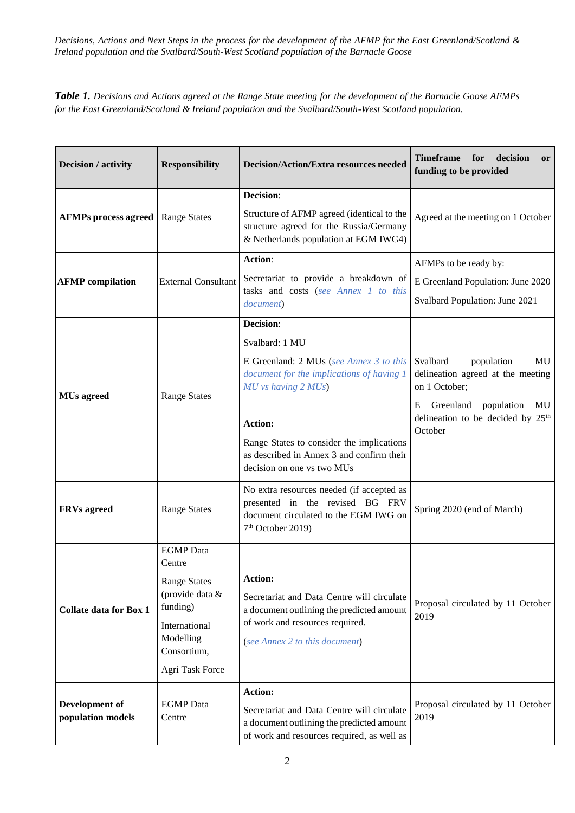*Table 1. Decisions and Actions agreed at the Range State meeting for the development of the Barnacle Goose AFMPs for the East Greenland/Scotland & Ireland population and the Svalbard/South-West Scotland population.*

| Decision / activity                 | <b>Responsibility</b>                                                                                                                            | <b>Decision/Action/Extra resources needed</b>                                                                                                                                                                                                                                        | <b>Timeframe</b><br>for<br>decision<br><b>or</b><br>funding to be provided                                                                                                           |
|-------------------------------------|--------------------------------------------------------------------------------------------------------------------------------------------------|--------------------------------------------------------------------------------------------------------------------------------------------------------------------------------------------------------------------------------------------------------------------------------------|--------------------------------------------------------------------------------------------------------------------------------------------------------------------------------------|
| <b>AFMPs process agreed</b>         | <b>Range States</b>                                                                                                                              | Decision:<br>Structure of AFMP agreed (identical to the<br>structure agreed for the Russia/Germany<br>& Netherlands population at EGM IWG4)                                                                                                                                          | Agreed at the meeting on 1 October                                                                                                                                                   |
| <b>AFMP</b> compilation             | <b>External Consultant</b>                                                                                                                       | Action:<br>Secretariat to provide a breakdown of<br>tasks and costs (see Annex 1 to this<br>document)                                                                                                                                                                                | AFMPs to be ready by:<br>E Greenland Population: June 2020<br>Svalbard Population: June 2021                                                                                         |
| <b>MUs</b> agreed                   | <b>Range States</b>                                                                                                                              | Decision:<br>Svalbard: 1 MU<br>E Greenland: 2 MUs (see Annex 3 to this<br>document for the implications of having 1<br>$MU$ vs having $2$ $MUs$ )<br>Action:<br>Range States to consider the implications<br>as described in Annex 3 and confirm their<br>decision on one vs two MUs | Svalbard<br>population<br>MU<br>delineation agreed at the meeting<br>on 1 October;<br>E<br>Greenland<br>population<br>MU<br>delineation to be decided by 25 <sup>th</sup><br>October |
| <b>FRVs</b> agreed                  | <b>Range States</b>                                                                                                                              | No extra resources needed (if accepted as<br>presented in the revised BG FRV<br>document circulated to the EGM IWG on<br>$7th$ October 2019)                                                                                                                                         | Spring 2020 (end of March)                                                                                                                                                           |
| <b>Collate data for Box 1</b>       | <b>EGMP</b> Data<br>Centre<br><b>Range States</b><br>(provide data &<br>funding)<br>International<br>Modelling<br>Consortium,<br>Agri Task Force | <b>Action:</b><br>Secretariat and Data Centre will circulate<br>a document outlining the predicted amount<br>of work and resources required.<br>(see Annex 2 to this document)                                                                                                       | Proposal circulated by 11 October<br>2019                                                                                                                                            |
| Development of<br>population models | <b>EGMP</b> Data<br>Centre                                                                                                                       | Action:<br>Secretariat and Data Centre will circulate<br>a document outlining the predicted amount<br>of work and resources required, as well as                                                                                                                                     | Proposal circulated by 11 October<br>2019                                                                                                                                            |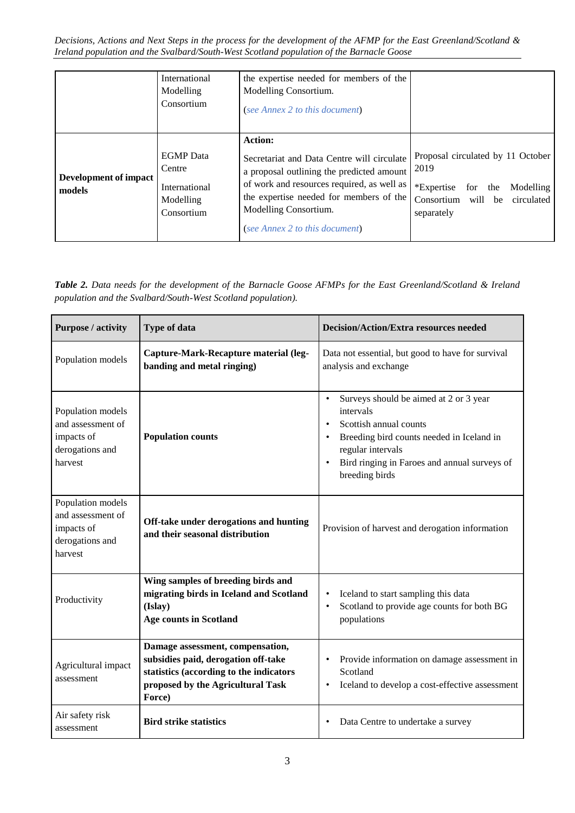|                                 | International<br>Modelling<br>Consortium                               | the expertise needed for members of the<br>Modelling Consortium.<br>(see Annex 2 to this document)                                                                                                                                                            |                                                                                                                                         |
|---------------------------------|------------------------------------------------------------------------|---------------------------------------------------------------------------------------------------------------------------------------------------------------------------------------------------------------------------------------------------------------|-----------------------------------------------------------------------------------------------------------------------------------------|
| Development of impact<br>models | <b>EGMP</b> Data<br>Centre<br>International<br>Modelling<br>Consortium | <b>Action:</b><br>Secretariat and Data Centre will circulate<br>a proposal outlining the predicted amount<br>of work and resources required, as well as<br>the expertise needed for members of the<br>Modelling Consortium.<br>(see Annex 2 to this document) | Proposal circulated by 11 October<br>2019<br>*Expertise<br>for the<br>Modelling<br>Consortium<br>will<br>circulated<br>be<br>separately |

*Table 2. Data needs for the development of the Barnacle Goose AFMPs for the East Greenland/Scotland & Ireland population and the Svalbard/South-West Scotland population).*

| <b>Purpose / activity</b>                                                          | <b>Type of data</b>                                                                                                                                               | <b>Decision/Action/Extra resources needed</b>                                                                                                                                                                                               |
|------------------------------------------------------------------------------------|-------------------------------------------------------------------------------------------------------------------------------------------------------------------|---------------------------------------------------------------------------------------------------------------------------------------------------------------------------------------------------------------------------------------------|
| Population models                                                                  | Capture-Mark-Recapture material (leg-<br>banding and metal ringing)                                                                                               | Data not essential, but good to have for survival<br>analysis and exchange                                                                                                                                                                  |
| Population models<br>and assessment of<br>impacts of<br>derogations and<br>harvest | <b>Population counts</b>                                                                                                                                          | Surveys should be aimed at 2 or 3 year<br>$\bullet$<br>intervals<br>Scottish annual counts<br>$\bullet$<br>Breeding bird counts needed in Iceland in<br>regular intervals<br>Bird ringing in Faroes and annual surveys of<br>breeding birds |
| Population models<br>and assessment of<br>impacts of<br>derogations and<br>harvest | Off-take under derogations and hunting<br>and their seasonal distribution                                                                                         | Provision of harvest and derogation information                                                                                                                                                                                             |
| Productivity                                                                       | Wing samples of breeding birds and<br>migrating birds in Iceland and Scotland<br>(Islay)<br><b>Age counts in Scotland</b>                                         | Iceland to start sampling this data<br>Scotland to provide age counts for both BG<br>$\bullet$<br>populations                                                                                                                               |
| Agricultural impact<br>assessment                                                  | Damage assessment, compensation,<br>subsidies paid, derogation off-take<br>statistics (according to the indicators<br>proposed by the Agricultural Task<br>Force) | Provide information on damage assessment in<br>Scotland<br>Iceland to develop a cost-effective assessment                                                                                                                                   |
| Air safety risk<br>assessment                                                      | <b>Bird strike statistics</b>                                                                                                                                     | Data Centre to undertake a survey                                                                                                                                                                                                           |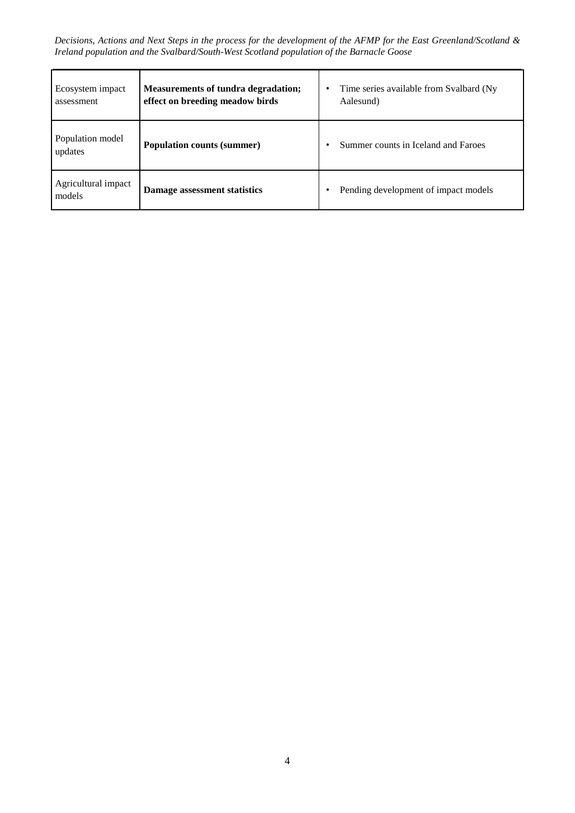| Ecosystem impact<br>assessment | <b>Measurements of tundra degradation;</b><br>effect on breeding meadow birds | Time series available from Svalbard (Ny<br>Aalesund) |
|--------------------------------|-------------------------------------------------------------------------------|------------------------------------------------------|
| Population model<br>updates    | <b>Population counts (summer)</b>                                             | Summer counts in Iceland and Faroes                  |
| Agricultural impact<br>models  | Damage assessment statistics                                                  | Pending development of impact models                 |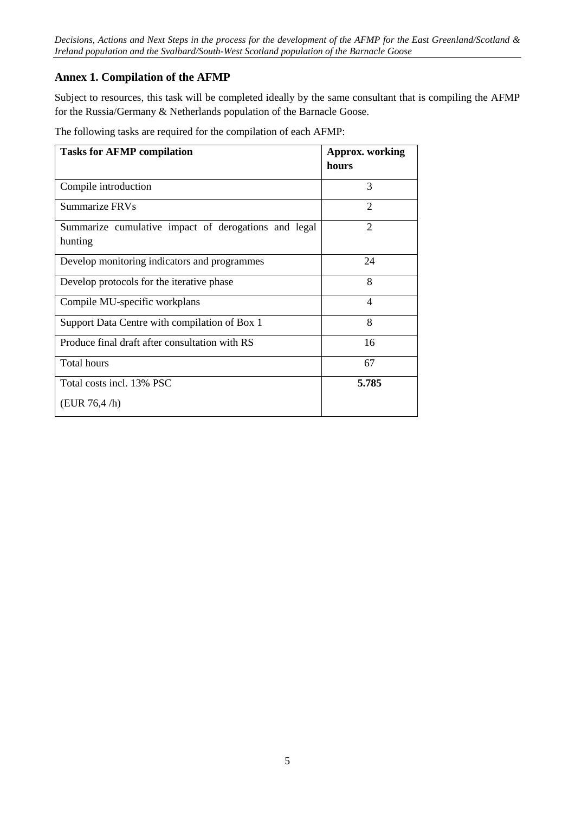## **Annex 1. Compilation of the AFMP**

Subject to resources, this task will be completed ideally by the same consultant that is compiling the AFMP for the Russia/Germany & Netherlands population of the Barnacle Goose.

The following tasks are required for the compilation of each AFMP:

| <b>Tasks for AFMP compilation</b>                               | <b>Approx.</b> working<br>hours |
|-----------------------------------------------------------------|---------------------------------|
| Compile introduction                                            | 3                               |
| Summarize FRVs                                                  | 2                               |
| Summarize cumulative impact of derogations and legal<br>hunting | $\overline{2}$                  |
| Develop monitoring indicators and programmes                    | 24                              |
| Develop protocols for the iterative phase                       | 8                               |
| Compile MU-specific workplans                                   | $\overline{\mathcal{A}}$        |
| Support Data Centre with compilation of Box 1                   | 8                               |
| Produce final draft after consultation with RS                  | 16                              |
| <b>Total hours</b>                                              | 67                              |
| Total costs incl. 13% PSC                                       | 5.785                           |
| (EUR 76, 4/h)                                                   |                                 |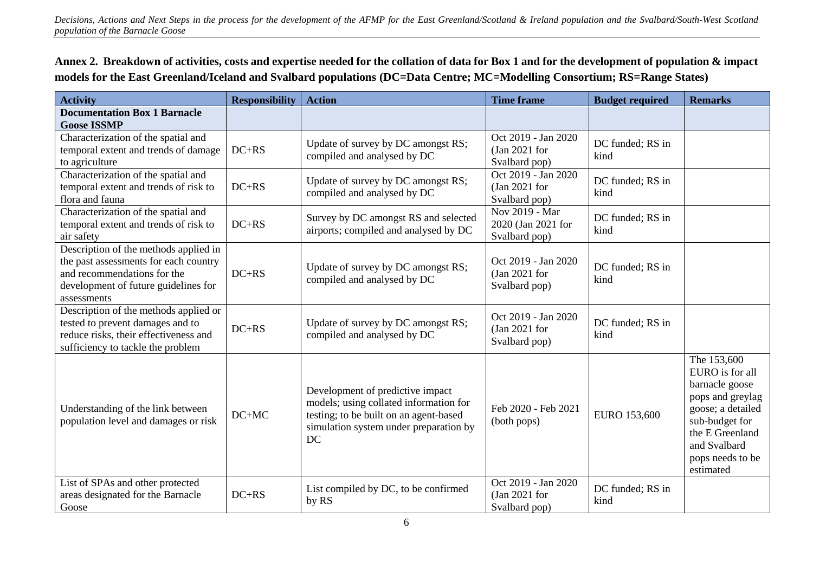**Annex 2. Breakdown of activities, costs and expertise needed for the collation of data for Box 1 and for the development of population & impact models for the East Greenland/Iceland and Svalbard populations (DC=Data Centre; MC=Modelling Consortium; RS=Range States)**

| <b>Activity</b>                                                                                                                                                      | <b>Responsibility</b> | <b>Action</b>                                                                                                                                                        | <b>Time frame</b>                                      | <b>Budget required</b>   | <b>Remarks</b>                                                                                                                                                                  |
|----------------------------------------------------------------------------------------------------------------------------------------------------------------------|-----------------------|----------------------------------------------------------------------------------------------------------------------------------------------------------------------|--------------------------------------------------------|--------------------------|---------------------------------------------------------------------------------------------------------------------------------------------------------------------------------|
| <b>Documentation Box 1 Barnacle</b><br><b>Goose ISSMP</b>                                                                                                            |                       |                                                                                                                                                                      |                                                        |                          |                                                                                                                                                                                 |
| Characterization of the spatial and<br>temporal extent and trends of damage<br>to agriculture                                                                        | $DC+RS$               | Update of survey by DC amongst RS;<br>compiled and analysed by DC                                                                                                    | Oct 2019 - Jan 2020<br>$Jan 2021$ for<br>Svalbard pop) | DC funded; RS in<br>kind |                                                                                                                                                                                 |
| Characterization of the spatial and<br>temporal extent and trends of risk to<br>flora and fauna                                                                      | $DC+RS$               | Update of survey by DC amongst RS;<br>compiled and analysed by DC                                                                                                    | Oct 2019 - Jan 2020<br>(Jan 2021 for<br>Svalbard pop)  | DC funded; RS in<br>kind |                                                                                                                                                                                 |
| Characterization of the spatial and<br>temporal extent and trends of risk to<br>air safety                                                                           | $DC+RS$               | Survey by DC amongst RS and selected<br>airports; compiled and analysed by DC                                                                                        | Nov 2019 - Mar<br>2020 (Jan 2021 for<br>Svalbard pop)  | DC funded; RS in<br>kind |                                                                                                                                                                                 |
| Description of the methods applied in<br>the past assessments for each country<br>and recommendations for the<br>development of future guidelines for<br>assessments | $DC+RS$               | Update of survey by DC amongst RS;<br>compiled and analysed by DC                                                                                                    | Oct 2019 - Jan 2020<br>$Jan 2021$ for<br>Svalbard pop) | DC funded; RS in<br>kind |                                                                                                                                                                                 |
| Description of the methods applied or<br>tested to prevent damages and to<br>reduce risks, their effectiveness and<br>sufficiency to tackle the problem              | $DC+RS$               | Update of survey by DC amongst RS;<br>compiled and analysed by DC                                                                                                    | Oct 2019 - Jan 2020<br>$Jan 2021$ for<br>Svalbard pop) | DC funded; RS in<br>kind |                                                                                                                                                                                 |
| Understanding of the link between<br>population level and damages or risk                                                                                            | $DC+MC$               | Development of predictive impact<br>models; using collated information for<br>testing; to be built on an agent-based<br>simulation system under preparation by<br>DC | Feb 2020 - Feb 2021<br>(both pops)                     | EURO 153,600             | The 153,600<br>EURO is for all<br>barnacle goose<br>pops and greylag<br>goose; a detailed<br>sub-budget for<br>the E Greenland<br>and Svalbard<br>pops needs to be<br>estimated |
| List of SPAs and other protected<br>areas designated for the Barnacle<br>Goose                                                                                       | $DC+RS$               | List compiled by DC, to be confirmed<br>by RS                                                                                                                        | Oct 2019 - Jan 2020<br>$Jan 2021$ for<br>Svalbard pop) | DC funded; RS in<br>kind |                                                                                                                                                                                 |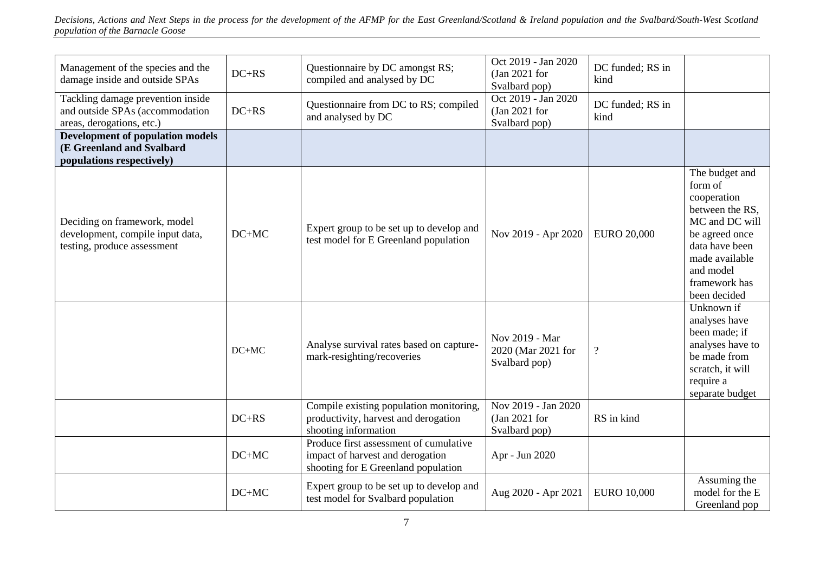| Management of the species and the<br>damage inside and outside SPAs                               | $DC+RS$ | Questionnaire by DC amongst RS;<br>compiled and analysed by DC                                                    | Oct 2019 - Jan 2020<br>$Jan 2021$ for<br>Svalbard pop) | DC funded; RS in<br>kind |                                                                                                                                                                                   |
|---------------------------------------------------------------------------------------------------|---------|-------------------------------------------------------------------------------------------------------------------|--------------------------------------------------------|--------------------------|-----------------------------------------------------------------------------------------------------------------------------------------------------------------------------------|
| Tackling damage prevention inside<br>and outside SPAs (accommodation<br>areas, derogations, etc.) | $DC+RS$ | Questionnaire from DC to RS; compiled<br>and analysed by DC                                                       | Oct 2019 - Jan 2020<br>$Jan 2021$ for<br>Svalbard pop) | DC funded; RS in<br>kind |                                                                                                                                                                                   |
| <b>Development of population models</b><br>(E Greenland and Svalbard<br>populations respectively) |         |                                                                                                                   |                                                        |                          |                                                                                                                                                                                   |
| Deciding on framework, model<br>development, compile input data,<br>testing, produce assessment   | $DC+MC$ | Expert group to be set up to develop and<br>test model for E Greenland population                                 | Nov 2019 - Apr 2020                                    | <b>EURO 20,000</b>       | The budget and<br>form of<br>cooperation<br>between the RS,<br>MC and DC will<br>be agreed once<br>data have been<br>made available<br>and model<br>framework has<br>been decided |
|                                                                                                   | $DC+MC$ | Analyse survival rates based on capture-<br>mark-resighting/recoveries                                            | Nov 2019 - Mar<br>2020 (Mar 2021 for<br>Svalbard pop)  | $\overline{\mathcal{C}}$ | Unknown if<br>analyses have<br>been made; if<br>analyses have to<br>be made from<br>scratch, it will<br>require a<br>separate budget                                              |
|                                                                                                   | $DC+RS$ | Compile existing population monitoring,<br>productivity, harvest and derogation<br>shooting information           | Nov 2019 - Jan 2020<br>$Jan 2021$ for<br>Svalbard pop) | RS in kind               |                                                                                                                                                                                   |
|                                                                                                   | $DC+MC$ | Produce first assessment of cumulative<br>impact of harvest and derogation<br>shooting for E Greenland population | Apr - Jun 2020                                         |                          |                                                                                                                                                                                   |
|                                                                                                   | $DC+MC$ | Expert group to be set up to develop and<br>test model for Svalbard population                                    | Aug 2020 - Apr 2021                                    | <b>EURO 10,000</b>       | Assuming the<br>model for the E<br>Greenland pop                                                                                                                                  |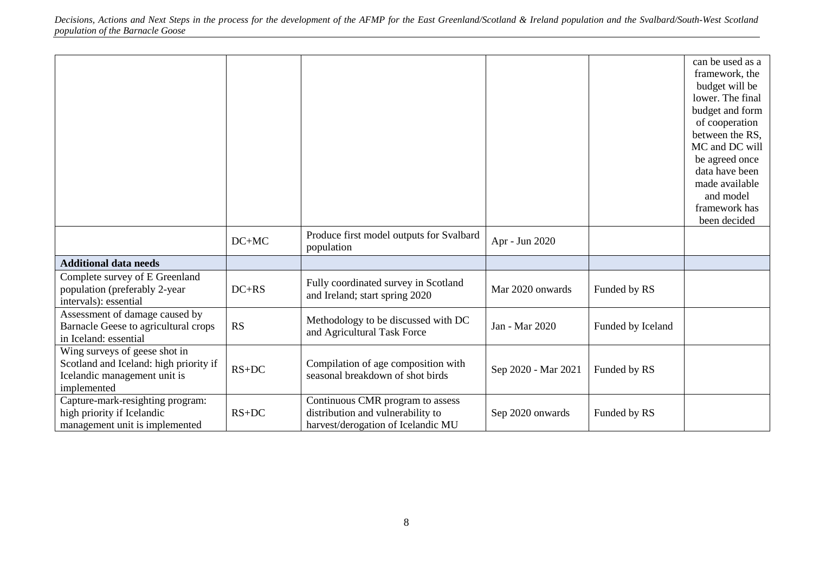|                                                                                                                        |           | Produce first model outputs for Svalbard                                                                    |                     |                   | can be used as a<br>framework, the<br>budget will be<br>lower. The final<br>budget and form<br>of cooperation<br>between the RS,<br>MC and DC will<br>be agreed once<br>data have been<br>made available<br>and model<br>framework has<br>been decided |
|------------------------------------------------------------------------------------------------------------------------|-----------|-------------------------------------------------------------------------------------------------------------|---------------------|-------------------|--------------------------------------------------------------------------------------------------------------------------------------------------------------------------------------------------------------------------------------------------------|
|                                                                                                                        | $DC+MC$   | population                                                                                                  | Apr - Jun 2020      |                   |                                                                                                                                                                                                                                                        |
| <b>Additional data needs</b>                                                                                           |           |                                                                                                             |                     |                   |                                                                                                                                                                                                                                                        |
| Complete survey of E Greenland<br>population (preferably 2-year<br>intervals): essential                               | $DC+RS$   | Fully coordinated survey in Scotland<br>and Ireland; start spring 2020                                      | Mar 2020 onwards    | Funded by RS      |                                                                                                                                                                                                                                                        |
| Assessment of damage caused by<br>Barnacle Geese to agricultural crops<br>in Iceland: essential                        | <b>RS</b> | Methodology to be discussed with DC<br>and Agricultural Task Force                                          | Jan - Mar 2020      | Funded by Iceland |                                                                                                                                                                                                                                                        |
| Wing surveys of geese shot in<br>Scotland and Iceland: high priority if<br>Icelandic management unit is<br>implemented | $RS+DC$   | Compilation of age composition with<br>seasonal breakdown of shot birds                                     | Sep 2020 - Mar 2021 | Funded by RS      |                                                                                                                                                                                                                                                        |
| Capture-mark-resighting program:<br>high priority if Icelandic<br>management unit is implemented                       | $RS+DC$   | Continuous CMR program to assess<br>distribution and vulnerability to<br>harvest/derogation of Icelandic MU | Sep 2020 onwards    | Funded by RS      |                                                                                                                                                                                                                                                        |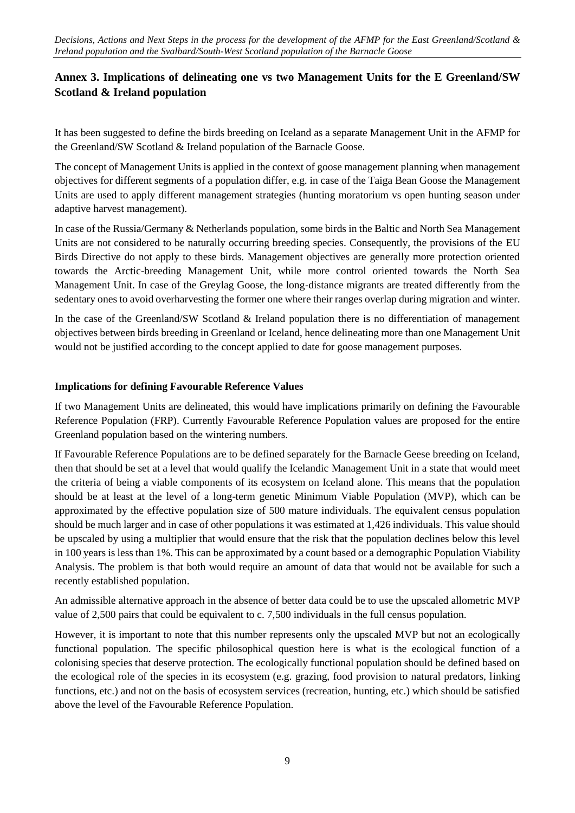## **Annex 3. Implications of delineating one vs two Management Units for the E Greenland/SW Scotland & Ireland population**

It has been suggested to define the birds breeding on Iceland as a separate Management Unit in the AFMP for the Greenland/SW Scotland & Ireland population of the Barnacle Goose.

The concept of Management Units is applied in the context of goose management planning when management objectives for different segments of a population differ, e.g. in case of the Taiga Bean Goose the Management Units are used to apply different management strategies (hunting moratorium vs open hunting season under adaptive harvest management).

In case of the Russia/Germany & Netherlands population, some birds in the Baltic and North Sea Management Units are not considered to be naturally occurring breeding species. Consequently, the provisions of the EU Birds Directive do not apply to these birds. Management objectives are generally more protection oriented towards the Arctic-breeding Management Unit, while more control oriented towards the North Sea Management Unit. In case of the Greylag Goose, the long-distance migrants are treated differently from the sedentary ones to avoid overharvesting the former one where their ranges overlap during migration and winter.

In the case of the Greenland/SW Scotland & Ireland population there is no differentiation of management objectives between birds breeding in Greenland or Iceland, hence delineating more than one Management Unit would not be justified according to the concept applied to date for goose management purposes.

### **Implications for defining Favourable Reference Values**

If two Management Units are delineated, this would have implications primarily on defining the Favourable Reference Population (FRP). Currently Favourable Reference Population values are proposed for the entire Greenland population based on the wintering numbers.

If Favourable Reference Populations are to be defined separately for the Barnacle Geese breeding on Iceland, then that should be set at a level that would qualify the Icelandic Management Unit in a state that would meet the criteria of being a viable components of its ecosystem on Iceland alone. This means that the population should be at least at the level of a long-term genetic Minimum Viable Population (MVP), which can be approximated by the effective population size of 500 mature individuals. The equivalent census population should be much larger and in case of other populations it was estimated at 1,426 individuals. This value should be upscaled by using a multiplier that would ensure that the risk that the population declines below this level in 100 years is less than 1%. This can be approximated by a count based or a demographic Population Viability Analysis. The problem is that both would require an amount of data that would not be available for such a recently established population.

An admissible alternative approach in the absence of better data could be to use the upscaled allometric MVP value of 2,500 pairs that could be equivalent to c. 7,500 individuals in the full census population.

However, it is important to note that this number represents only the upscaled MVP but not an ecologically functional population. The specific philosophical question here is what is the ecological function of a colonising species that deserve protection. The ecologically functional population should be defined based on the ecological role of the species in its ecosystem (e.g. grazing, food provision to natural predators, linking functions, etc.) and not on the basis of ecosystem services (recreation, hunting, etc.) which should be satisfied above the level of the Favourable Reference Population.